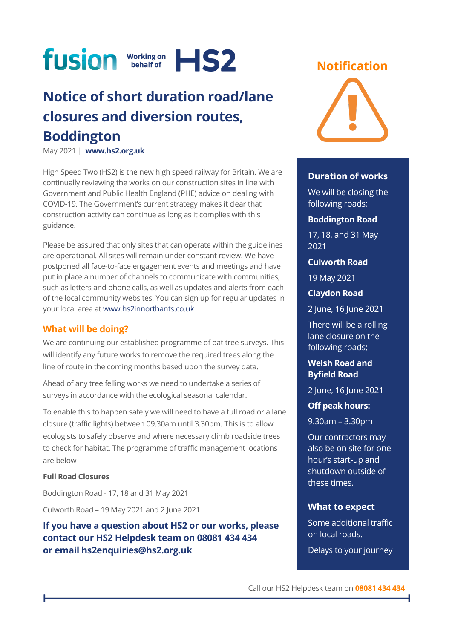

May 2021 | **[www.hs2.org.uk](http://www.hs2.org.uk/)**

High Speed Two (HS2) is the new high speed railway for Britain. We are continually reviewing the works on our construction sites in line with Government and Public Health England (PHE) advice on dealing with COVID-19. The Government's current strategy makes it clear that construction activity can continue as long as it complies with this guidance.

Please be assured that only sites that can operate within the guidelines are operational. All sites will remain under constant review. We have postponed all face-to-face engagement events and meetings and have put in place a number of channels to communicate with communities, such as letters and phone calls, as well as updates and alerts from each of the local community websites. You can sign up for regular updates in your local area at [www.hs2innorthants.co.uk](http://www.hs2innorthants.co.uk/) 

### **What will be doing?**

We are continuing our established programme of bat tree surveys. This will identify any future works to remove the required trees along the line of route in the coming months based upon the survey data.

Ahead of any tree felling works we need to undertake a series of surveys in accordance with the ecological seasonal calendar.

To enable this to happen safely we will need to have a full road or a lane closure (traffic lights) between 09.30am until 3.30pm. This is to allow ecologists to safely observe and where necessary climb roadside trees to check for habitat. The programme of traffic management locations are below

#### **Full Road Closures**

Boddington Road - 17, 18 and 31 May 2021

Culworth Road – 19 May 2021 and 2 June 2021

**If you have a question about HS2 or our works, please contact our HS2 Helpdesk team on 08081 434 434 or email hs2enquiries@hs2.org.uk**

### **Notification**



### **Duration of works**

We will be closing the following roads;

#### **Boddington Road**

17, 18, and 31 May 2021

#### **Culworth Road**

19 May 2021

**Claydon Road** 

2 June, 16 June 2021

There will be a rolling lane closure on the following roads;

### **Welsh Road and Byfield Road**

2 June, 16 June 2021

**Off peak hours:**

9.30am – 3.30pm

Our contractors may also be on site for one hour's start-up and shutdown outside of these times.

#### **What to expect**

Some additional traffic on local roads. Delays to your journey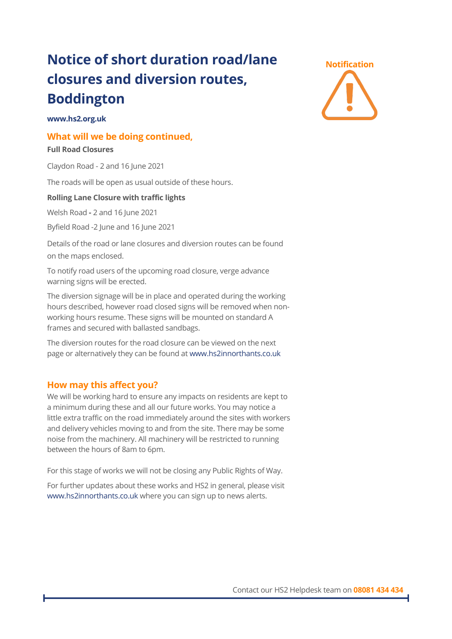**www.hs2.org.uk**

### **What will we be doing continued,**

#### **Full Road Closures**

Claydon Road - 2 and 16 June 2021

The roads will be open as usual outside of these hours.

#### **Rolling Lane Closure with traffic lights**

Welsh Road **-** 2 and 16 June 2021

Byfield Road -2 June and 16 June 2021

Details of the road or lane closures and diversion routes can be found on the maps enclosed.

To notify road users of the upcoming road closure, verge advance warning signs will be erected.

The diversion signage will be in place and operated during the working hours described, however road closed signs will be removed when nonworking hours resume. These signs will be mounted on standard A frames and secured with ballasted sandbags.

The diversion routes for the road closure can be viewed on the next page or alternatively they can be found at [www.hs2innorthants.co.uk](http://www.hs2innorthants.co.uk/)

### **How may this affect you?**

We will be working hard to ensure any impacts on residents are kept to a minimum during these and all our future works. You may notice a little extra traffic on the road immediately around the sites with workers and delivery vehicles moving to and from the site. There may be some noise from the machinery. All machinery will be restricted to running between the hours of 8am to 6pm.

For this stage of works we will not be closing any Public Rights of Way.

For further updates about these works and HS2 in general, please visit [www.hs2innorthants.co.uk](http://www.hs2innorthants.co.uk/) where you can sign up to news alerts.

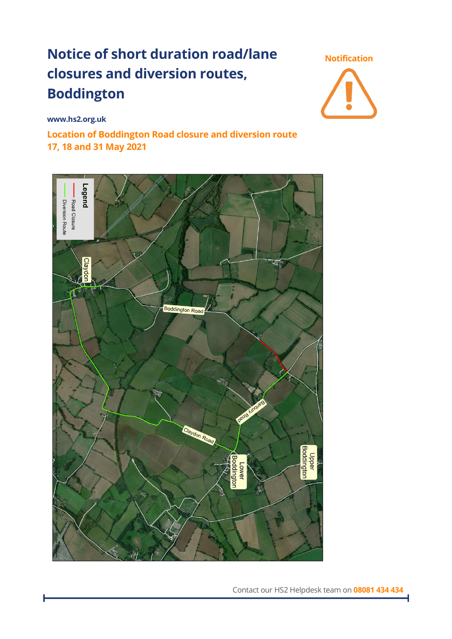



**www.hs2.org.uk**

**Location of Boddington Road closure and diversion route 17, 18 and 31 May 2021**

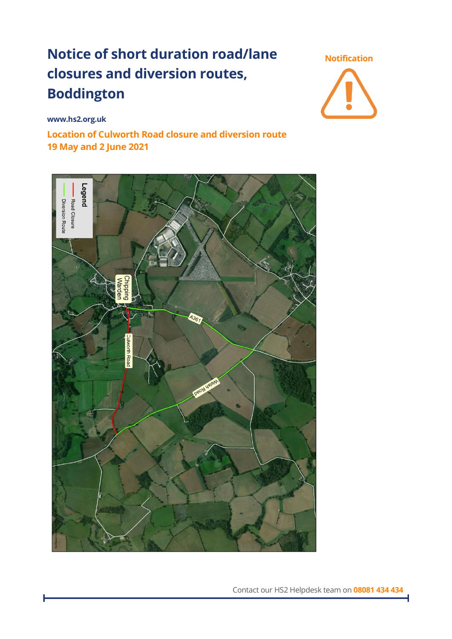**Notification**

**www.hs2.org.uk**

**Location of Culworth Road closure and diversion route 19 May and 2 June 2021**

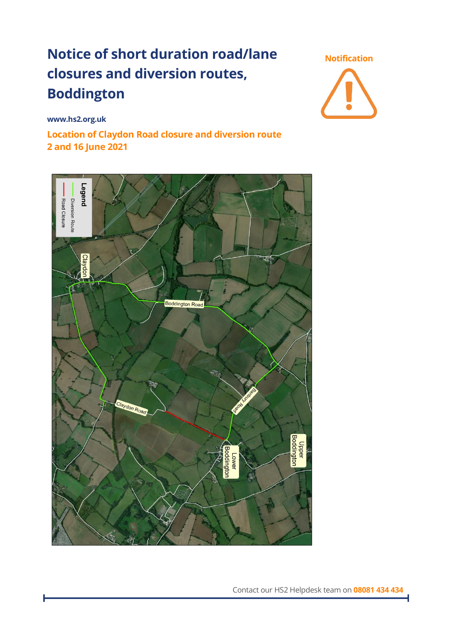**Notification**

**www.hs2.org.uk**

**Location of Claydon Road closure and diversion route 2 and 16 June 2021** 

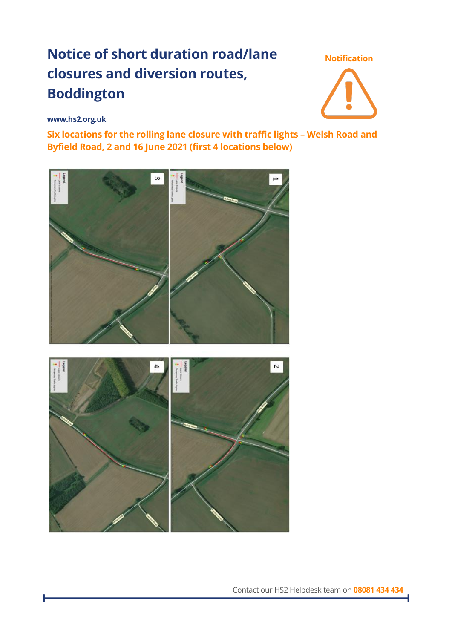**Notification**



### **www.hs2.org.uk**

**Six locations for the rolling lane closure with traffic lights – Welsh Road and Byfield Road, 2 and 16 June 2021 (first 4 locations below)**





Contact our HS2 Helpdesk team on **08081 434 434**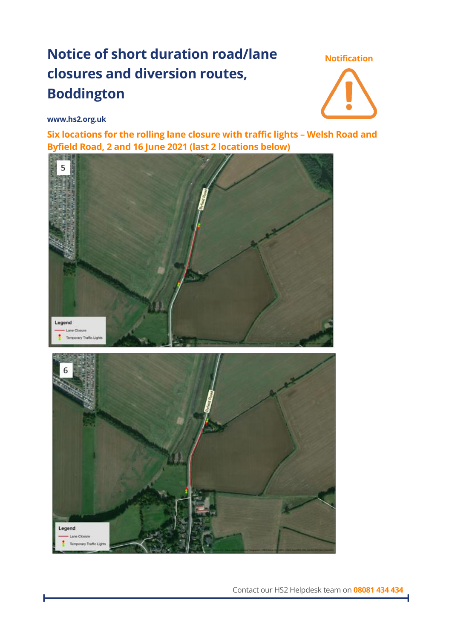**Notification**



### **www.hs2.org.uk**

**Six locations for the rolling lane closure with traffic lights – Welsh Road and Byfield Road, 2 and 16 June 2021 (last 2 locations below)**